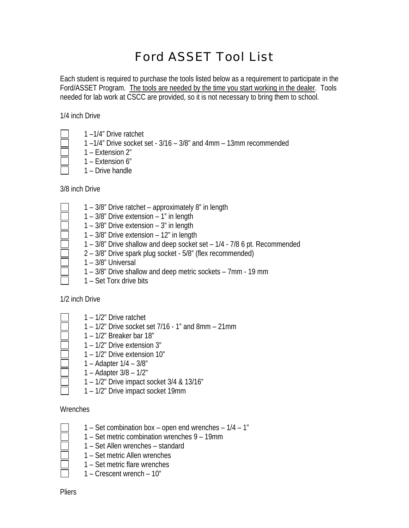## Ford ASSET Tool List

Each student is required to purchase the tools listed below as a requirement to participate in the Ford/ASSET Program. The tools are needed by the time you start working in the dealer. Tools needed for lab work at CSCC are provided, so it is not necessary to bring them to school.

1/4 inch Drive

- 
- 1 –1/4" Drive ratchet
- 1 –1/4" Drive socket set 3/16 3/8" and 4mm 13mm recommended
- 1 Extension 2"
- 1 Extension 6"
- 1 Drive handle

3/8 inch Drive

- 1 3/8" Drive ratchet approximately 8" in length
- 1 3/8" Drive extension 1" in length
- 1 3/8" Drive extension 3" in length
- 1 3/8" Drive extension 12" in length
- 1 3/8" Drive shallow and deep socket set 1/4 7/8 6 pt. Recommended
- 2 3/8" Drive spark plug socket 5/8" (flex recommended)
- 1 3/8" Universal
- 1 3/8" Drive shallow and deep metric sockets 7mm 19 mm
- 1 Set Torx drive bits

1/2 inch Drive

- 1 1/2" Drive ratchet
	- 1 1/2" Drive socket set 7/16 1" and 8mm 21mm
	- 1 1/2" Breaker bar 18"
	- 1 1/2" Drive extension 3"
	- 1 1/2" Drive extension 10"
	- 1 Adapter 1/4 3/8"
	- 1 Adapter 3/8 1/2"
	- 1 1/2" Drive impact socket 3/4 & 13/16"
	- 1 1/2" Drive impact socket 19mm

## **Wrenches**

- 
- 1 Set combination box open end wrenches 1/4 1" 1 – Set metric combination wrenches 9 – 19mm
- 
- 1 Set Allen wrenches standard
- 1 Set metric Allen wrenches
- 1 Set metric flare wrenches
- 1 Crescent wrench 10"